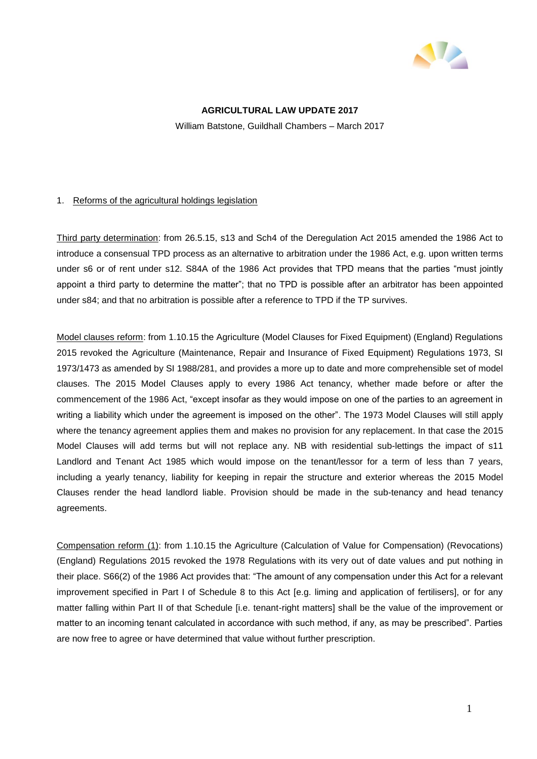

# **AGRICULTURAL LAW UPDATE 2017**

William Batstone, Guildhall Chambers – March 2017

## 1. Reforms of the agricultural holdings legislation

Third party determination: from 26.5.15, s13 and Sch4 of the Deregulation Act 2015 amended the 1986 Act to introduce a consensual TPD process as an alternative to arbitration under the 1986 Act, e.g. upon written terms under s6 or of rent under s12. S84A of the 1986 Act provides that TPD means that the parties "must jointly appoint a third party to determine the matter"; that no TPD is possible after an arbitrator has been appointed under s84; and that no arbitration is possible after a reference to TPD if the TP survives.

Model clauses reform: from 1.10.15 the Agriculture (Model Clauses for Fixed Equipment) (England) Regulations 2015 revoked the Agriculture (Maintenance, Repair and Insurance of Fixed Equipment) Regulations 1973, SI 1973/1473 as amended by SI 1988/281, and provides a more up to date and more comprehensible set of model clauses. The 2015 Model Clauses apply to every 1986 Act tenancy, whether made before or after the commencement of the 1986 Act, "except insofar as they would impose on one of the parties to an agreement in writing a liability which under the agreement is imposed on the other". The 1973 Model Clauses will still apply where the tenancy agreement applies them and makes no provision for any replacement. In that case the 2015 Model Clauses will add terms but will not replace any. NB with residential sub-lettings the impact of s11 Landlord and Tenant Act 1985 which would impose on the tenant/lessor for a term of less than 7 years, including a yearly tenancy, liability for keeping in repair the structure and exterior whereas the 2015 Model Clauses render the head landlord liable. Provision should be made in the sub-tenancy and head tenancy agreements.

Compensation reform (1): from 1.10.15 the Agriculture (Calculation of Value for Compensation) (Revocations) (England) Regulations 2015 revoked the 1978 Regulations with its very out of date values and put nothing in their place. S66(2) of the 1986 Act provides that: "The amount of any compensation under this Act for a relevant improvement specified in Part I of Schedule 8 to this Act [e.g. liming and application of fertilisers], or for any matter falling within Part II of that Schedule [i.e. tenant-right matters] shall be the value of the improvement or matter to an incoming tenant calculated in accordance with such method, if any, as may be prescribed". Parties are now free to agree or have determined that value without further prescription.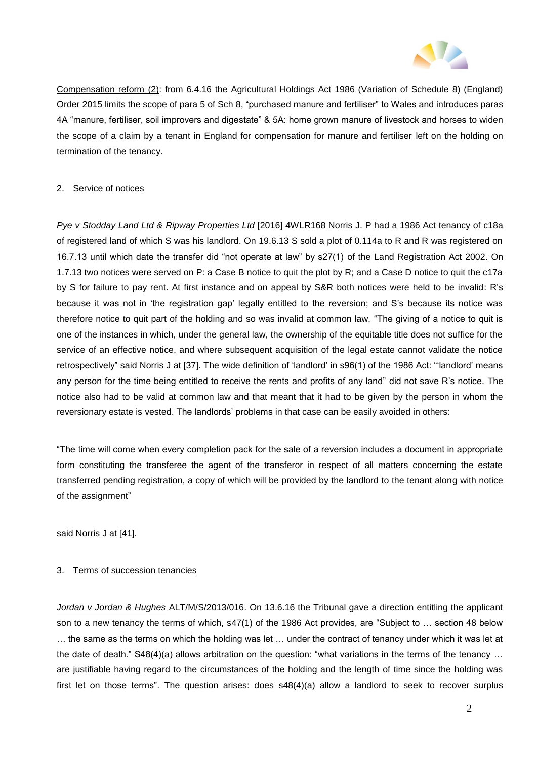

Compensation reform (2): from 6.4.16 the Agricultural Holdings Act 1986 (Variation of Schedule 8) (England) Order 2015 limits the scope of para 5 of Sch 8, "purchased manure and fertiliser" to Wales and introduces paras 4A "manure, fertiliser, soil improvers and digestate" & 5A: home grown manure of livestock and horses to widen the scope of a claim by a tenant in England for compensation for manure and fertiliser left on the holding on termination of the tenancy.

## 2. Service of notices

*Pye v Stodday Land Ltd & Ripway Properties Ltd* [2016] 4WLR168 Norris J. P had a 1986 Act tenancy of c18a of registered land of which S was his landlord. On 19.6.13 S sold a plot of 0.114a to R and R was registered on 16.7.13 until which date the transfer did "not operate at law" by s27(1) of the Land Registration Act 2002. On 1.7.13 two notices were served on P: a Case B notice to quit the plot by R; and a Case D notice to quit the c17a by S for failure to pay rent. At first instance and on appeal by S&R both notices were held to be invalid: R's because it was not in 'the registration gap' legally entitled to the reversion; and S's because its notice was therefore notice to quit part of the holding and so was invalid at common law. "The giving of a notice to quit is one of the instances in which, under the general law, the ownership of the equitable title does not suffice for the service of an effective notice, and where subsequent acquisition of the legal estate cannot validate the notice retrospectively" said Norris J at [37]. The wide definition of 'landlord' in s96(1) of the 1986 Act: "'landlord' means any person for the time being entitled to receive the rents and profits of any land" did not save R's notice. The notice also had to be valid at common law and that meant that it had to be given by the person in whom the reversionary estate is vested. The landlords' problems in that case can be easily avoided in others:

"The time will come when every completion pack for the sale of a reversion includes a document in appropriate form constituting the transferee the agent of the transferor in respect of all matters concerning the estate transferred pending registration, a copy of which will be provided by the landlord to the tenant along with notice of the assignment"

said Norris J at [41].

### 3. Terms of succession tenancies

*Jordan v Jordan & Hughes* ALT/M/S/2013/016. On 13.6.16 the Tribunal gave a direction entitling the applicant son to a new tenancy the terms of which, s47(1) of the 1986 Act provides, are "Subject to … section 48 below … the same as the terms on which the holding was let … under the contract of tenancy under which it was let at the date of death." S48(4)(a) allows arbitration on the question: "what variations in the terms of the tenancy … are justifiable having regard to the circumstances of the holding and the length of time since the holding was first let on those terms". The question arises: does s48(4)(a) allow a landlord to seek to recover surplus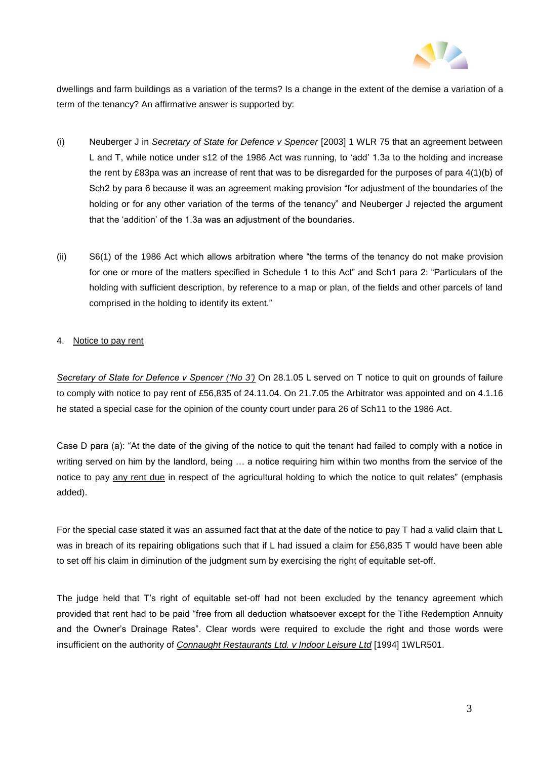

dwellings and farm buildings as a variation of the terms? Is a change in the extent of the demise a variation of a term of the tenancy? An affirmative answer is supported by:

- (i) Neuberger J in *Secretary of State for Defence v Spencer* [2003] 1 WLR 75 that an agreement between L and T, while notice under s12 of the 1986 Act was running, to 'add' 1.3a to the holding and increase the rent by £83pa was an increase of rent that was to be disregarded for the purposes of para 4(1)(b) of Sch2 by para 6 because it was an agreement making provision "for adjustment of the boundaries of the holding or for any other variation of the terms of the tenancy" and Neuberger J rejected the argument that the 'addition' of the 1.3a was an adjustment of the boundaries.
- (ii) S6(1) of the 1986 Act which allows arbitration where "the terms of the tenancy do not make provision for one or more of the matters specified in Schedule 1 to this Act" and Sch1 para 2: "Particulars of the holding with sufficient description, by reference to a map or plan, of the fields and other parcels of land comprised in the holding to identify its extent."

## 4. Notice to pay rent

*Secretary of State for Defence v Spencer ('No 3')* On 28.1.05 L served on T notice to quit on grounds of failure to comply with notice to pay rent of £56,835 of 24.11.04. On 21.7.05 the Arbitrator was appointed and on 4.1.16 he stated a special case for the opinion of the county court under para 26 of Sch11 to the 1986 Act.

Case D para (a): "At the date of the giving of the notice to quit the tenant had failed to comply with a notice in writing served on him by the landlord, being … a notice requiring him within two months from the service of the notice to pay any rent due in respect of the agricultural holding to which the notice to quit relates" (emphasis added).

For the special case stated it was an assumed fact that at the date of the notice to pay T had a valid claim that L was in breach of its repairing obligations such that if L had issued a claim for £56,835 T would have been able to set off his claim in diminution of the judgment sum by exercising the right of equitable set-off.

The judge held that T's right of equitable set-off had not been excluded by the tenancy agreement which provided that rent had to be paid "free from all deduction whatsoever except for the Tithe Redemption Annuity and the Owner's Drainage Rates". Clear words were required to exclude the right and those words were insufficient on the authority of *Connaught Restaurants Ltd. v Indoor Leisure Ltd* [1994] 1WLR501.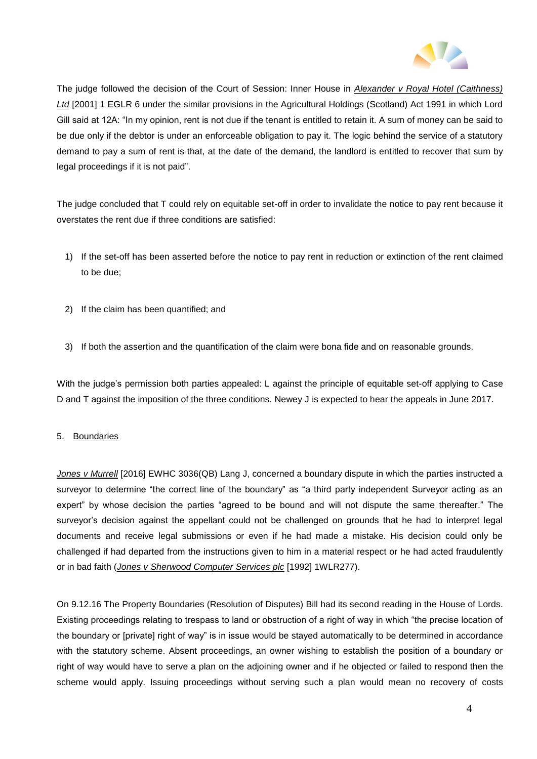

The judge followed the decision of the Court of Session: Inner House in *Alexander v Royal Hotel (Caithness) Ltd* [2001] 1 EGLR 6 under the similar provisions in the Agricultural Holdings (Scotland) Act 1991 in which Lord Gill said at 12A: "In my opinion, rent is not due if the tenant is entitled to retain it. A sum of money can be said to be due only if the debtor is under an enforceable obligation to pay it. The logic behind the service of a statutory demand to pay a sum of rent is that, at the date of the demand, the landlord is entitled to recover that sum by legal proceedings if it is not paid".

The judge concluded that T could rely on equitable set-off in order to invalidate the notice to pay rent because it overstates the rent due if three conditions are satisfied:

- 1) If the set-off has been asserted before the notice to pay rent in reduction or extinction of the rent claimed to be due;
- 2) If the claim has been quantified; and
- 3) If both the assertion and the quantification of the claim were bona fide and on reasonable grounds.

With the judge's permission both parties appealed: L against the principle of equitable set-off applying to Case D and T against the imposition of the three conditions. Newey J is expected to hear the appeals in June 2017.

#### 5. Boundaries

*Jones v Murrell* [2016] EWHC 3036(QB) Lang J, concerned a boundary dispute in which the parties instructed a surveyor to determine "the correct line of the boundary" as "a third party independent Surveyor acting as an expert" by whose decision the parties "agreed to be bound and will not dispute the same thereafter." The surveyor's decision against the appellant could not be challenged on grounds that he had to interpret legal documents and receive legal submissions or even if he had made a mistake. His decision could only be challenged if had departed from the instructions given to him in a material respect or he had acted fraudulently or in bad faith (*Jones v Sherwood Computer Services plc* [1992] 1WLR277).

On 9.12.16 The Property Boundaries (Resolution of Disputes) Bill had its second reading in the House of Lords. Existing proceedings relating to trespass to land or obstruction of a right of way in which "the precise location of the boundary or [private] right of way" is in issue would be stayed automatically to be determined in accordance with the statutory scheme. Absent proceedings, an owner wishing to establish the position of a boundary or right of way would have to serve a plan on the adjoining owner and if he objected or failed to respond then the scheme would apply. Issuing proceedings without serving such a plan would mean no recovery of costs